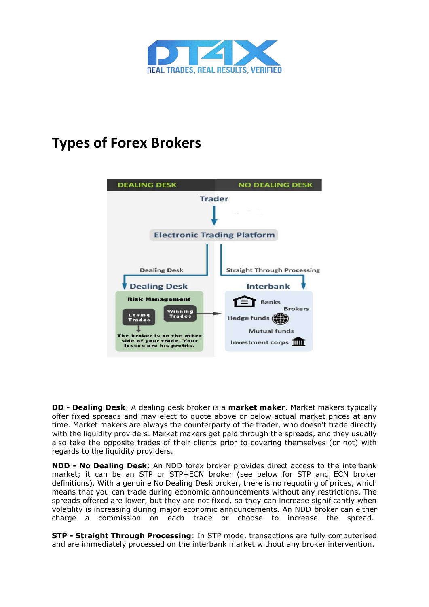

## **Types of Forex Brokers**



**DD - Dealing Desk**: A dealing desk broker is a **market maker**. Market makers typically offer fixed spreads and may elect to quote above or below actual market prices at any time. Market makers are always the counterparty of the trader, who doesn't trade directly with the liquidity providers. Market makers get paid through the spreads, and they usually also take the opposite trades of their clients prior to covering themselves (or not) with regards to the liquidity providers.

**NDD - No Dealing Desk**: An NDD forex broker provides direct access to the interbank market; it can be an STP or STP+ECN broker (see below for STP and ECN broker definitions). With a genuine No Dealing Desk broker, there is no requoting of prices, which means that you can trade during economic announcements without any restrictions. The spreads offered are lower, but they are not fixed, so they can increase significantly when volatility is increasing during major economic announcements. An NDD broker can either charge a commission on each trade or choose to increase the spread.

**STP - Straight Through Processing**: In STP mode, transactions are fully computerised and are immediately processed on the interbank market without any broker intervention.